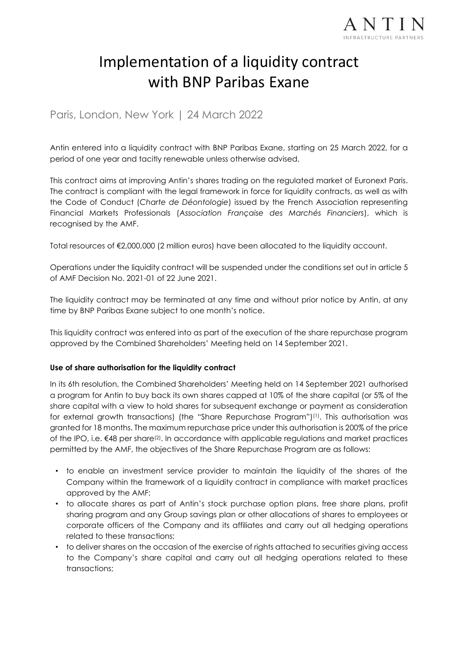

# Implementation of a liquidity contract with BNP Paribas Exane

Paris, London, New York | 24 March 2022

Antin entered into a liquidity contract with BNP Paribas Exane, starting on 25 March 2022, for a period of one year and tacitly renewable unless otherwise advised.

This contract aims at improving Antin's shares trading on the regulated market of Euronext Paris. The contract is compliant with the legal framework in force for liquidity contracts, as well as with the Code of Conduct (*Charte de Déontologie*) issued by the French Association representing Financial Markets Professionals (*Association Française des Marchés Financiers*), which is recognised by the AMF.

Total resources of €2,000,000 (2 million euros) have been allocated to the liquidity account.

Operations under the liquidity contract will be suspended under the conditions set out in article 5 of AMF Decision No. 2021-01 of 22 June 2021.

The liquidity contract may be terminated at any time and without prior notice by Antin, at any time by BNP Paribas Exane subject to one month's notice.

This liquidity contract was entered into as part of the execution of the share repurchase program approved by the Combined Shareholders' Meeting held on 14 September 2021.

## **Use of share authorisation for the liquidity contract**

In its 6th resolution, the Combined Shareholders' Meeting held on 14 September 2021 authorised a program for Antin to buy back its own shares capped at 10% of the share capital (or 5% of the share capital with a view to hold shares for subsequent exchange or payment as consideration for external growth transactions) (the "Share Repurchase Program")(1) . This authorisation was granted for 18 months. The maximum repurchase price under this authorisation is 200% of the price of the IPO, i.e.  $\epsilon$ 48 per share<sup>(2)</sup>. In accordance with applicable regulations and market practices permitted by the AMF, the objectives of the Share Repurchase Program are as follows:

- to enable an investment service provider to maintain the liquidity of the shares of the Company within the framework of a liquidity contract in compliance with market practices approved by the AMF;
- to allocate shares as part of Antin's stock purchase option plans, free share plans, profit sharing program and any Group savings plan or other allocations of shares to employees or corporate officers of the Company and its affiliates and carry out all hedging operations related to these transactions;
- to deliver shares on the occasion of the exercise of rights attached to securities giving access to the Company's share capital and carry out all hedging operations related to these transactions;